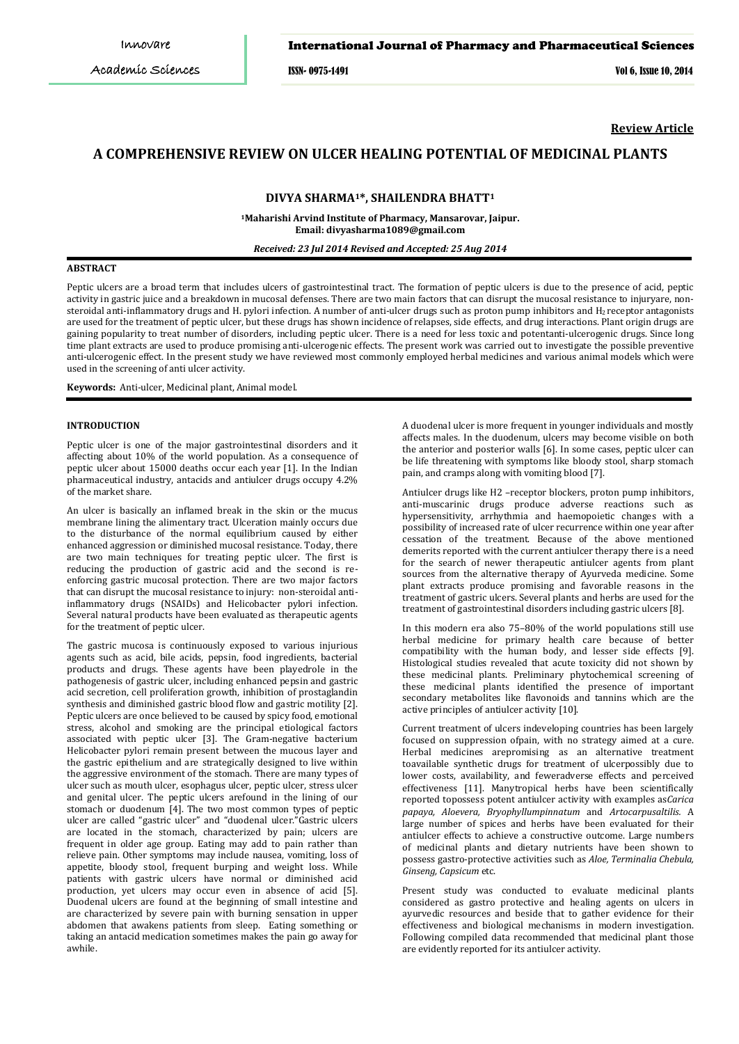# International Journal of Pharmacy and Pharmaceutical Sciences

ISSN- 0975-1491 Vol 6, Issue 10, 2014

**Review Article**

# **A COMPREHENSIVE REVIEW ON ULCER HEALING POTENTIAL OF MEDICINAL PLANTS**

## **DIVYA SHARMA1\*, SHAILENDRA BHATT1**

**1 Maharishi Arvind Institute of Pharmacy, Mansarovar, Jaipur. Email: divyasharma1089@gmail.com**

*Received: 23 Jul 2014 Revised and Accepted: 25 Aug 2014*

# **ABSTRACT**

Peptic ulcers are a broad term that includes ulcers of gastrointestinal tract. The formation of peptic ulcers is due to the presence of acid, peptic activity in gastric juice and a breakdown in mucosal defenses. There are two main factors that can disrupt the mucosal resistance to injuryare, nonsteroidal anti-inflammatory drugs and H. pylori infection. A number of anti-ulcer drugs such as proton pump inhibitors and H<sub>2</sub> receptor antagonists are used for the treatment of peptic ulcer, but these drugs has shown incidence of relapses, side effects, and drug interactions. Plant origin drugs are gaining popularity to treat number of disorders, including peptic ulcer. There is a need for less toxic and potentanti-ulcerogenic drugs. Since long time plant extracts are used to produce promising anti-ulcerogenic effects. The present work was carried out to investigate the possible preventive anti-ulcerogenic effect. In the present study we have reviewed most commonly employed herbal medicines and various animal models which were used in the screening of anti ulcer activity.

**Keywords:** Anti-ulcer, Medicinal plant, Animal model.

# **INTRODUCTION**

Peptic ulcer is one of the major gastrointestinal disorders and it affecting about 10% of the world population. As a consequence of peptic ulcer about 15000 deaths occur each year [1]. In the Indian pharmaceutical industry, antacids and antiulcer drugs occupy 4.2% of the market share.

An ulcer is basically an inflamed break in the skin or the mucus membrane lining the alimentary tract. Ulceration mainly occurs due to the disturbance of the normal equilibrium caused by either enhanced aggression or diminished mucosal resistance. Today, there are two main techniques for treating peptic ulcer. The first is reducing the production of gastric acid and the second is reenforcing gastric mucosal protection. There are two major factors that can disrupt the mucosal resistance to injury: non-steroidal antiinflammatory drugs (NSAIDs) and Helicobacter pylori infection. Several natural products have been evaluated as therapeutic agents for the treatment of peptic ulcer.

The gastric mucosa is continuously exposed to various injurious agents such as acid, bile acids, pepsin, food ingredients, bacterial products and drugs. These agents have been playedrole in the pathogenesis of gastric ulcer, including enhanced pepsin and gastric acid secretion, cell proliferation growth, inhibition of prostaglandin synthesis and diminished gastric blood flow and gastric motility [2]. Peptic ulcers are once believed to be caused by spicy food, emotional stress, alcohol and smoking are the principal etiological factors associated with peptic ulcer [3]. The Gram-negative bacterium Helicobacter pylori remain present between the mucous layer and the gastric epithelium and are strategically designed to live within the aggressive environment of the stomach. There are many types of ulcer such as mouth ulcer, esophagus ulcer, peptic ulcer, stress ulcer and genital ulcer. The peptic ulcers arefound in the lining of our stomach or duodenum [4]. The two most common types of peptic ulcer are called "gastric ulcer" and "duodenal ulcer."Gastric ulcers are located in the stomach, characterized by pain; ulcers are frequent in older age group. Eating may add to pain rather than relieve pain. Other symptoms may include nausea, vomiting, loss of appetite, bloody stool, frequent burping and weight loss. While patients with gastric ulcers have normal or diminished acid production, yet ulcers may occur even in absence of acid [5]. Duodenal ulcers are found at the beginning of small intestine and are characterized by severe pain with burning sensation in upper abdomen that awakens patients from sleep. Eating something or taking an antacid medication sometimes makes the pain go away for awhile.

A duodenal ulcer is more frequent in younger individuals and mostly affects males. In the duodenum, ulcers may become visible on both the anterior and posterior walls [6]. In some cases, peptic ulcer can be life threatening with symptoms like bloody stool, sharp stomach pain, and cramps along with vomiting blood [7].

Antiulcer drugs like H2 –receptor blockers, proton pump inhibitors, anti-muscarinic drugs produce adverse reactions such as hypersensitivity, arrhythmia and haemopoietic changes with a possibility of increased rate of ulcer recurrence within one year after cessation of the treatment. Because of the above mentioned demerits reported with the current antiulcer therapy there is a need for the search of newer therapeutic antiulcer agents from plant sources from the alternative therapy of Ayurveda medicine. Some plant extracts produce promising and favorable reasons in the treatment of gastric ulcers. Several plants and herbs are used for the treatment of gastrointestinal disorders including gastric ulcers [8].

In this modern era also 75–80% of the world populations still use herbal medicine for primary health care because of better compatibility with the human body, and lesser side effects [9]. Histological studies revealed that acute toxicity did not shown by these medicinal plants. Preliminary phytochemical screening of these medicinal plants identified the presence of important secondary metabolites like flavonoids and tannins which are the active principles of antiulcer activity [10].

Current treatment of ulcers indeveloping countries has been largely focused on suppression ofpain, with no strategy aimed at a cure. Herbal medicines arepromising as an alternative treatment toavailable synthetic drugs for treatment of ulcerpossibly due to lower costs, availability, and feweradverse effects and perceived effectiveness [11]. Manytropical herbs have been scientifically reported topossess potent antiulcer activity with examples as*Carica papaya, Aloevera, Bryophyllumpinnatum* and *Artocarpusaltilis.* A large number of spices and herbs have been evaluated for their antiulcer effects to achieve a constructive outcome. Large numbers of medicinal plants and dietary nutrients have been shown to possess gastro-protective activities such as *Aloe, Terminalia Chebula, Ginseng, Capsicum* etc.

Present study was conducted to evaluate medicinal plants considered as gastro protective and healing agents on ulcers in ayurvedic resources and beside that to gather evidence for their effectiveness and biological mechanisms in modern investigation. Following compiled data recommended that medicinal plant those are evidently reported for its antiulcer activity.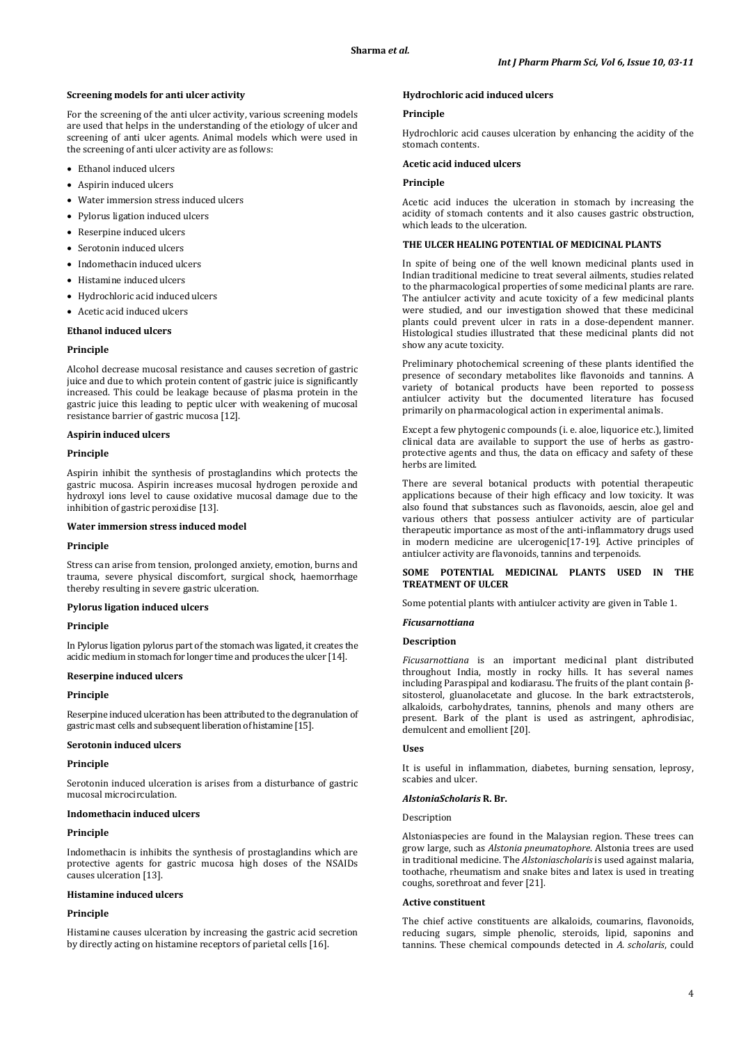### **Screening models for anti ulcer activity**

For the screening of the anti ulcer activity, various screening models are used that helps in the understanding of the etiology of ulcer and screening of anti ulcer agents. Animal models which were used in the screening of anti ulcer activity are as follows:

- Ethanol induced ulcers
- Aspirin induced ulcers
- Water immersion stress induced ulcers
- Pylorus ligation induced ulcers
- Reserpine induced ulcers
- Serotonin induced ulcers
- Indomethacin induced ulcers
- Histamine induced ulcers
- Hydrochloric acid induced ulcers
- Acetic acid induced ulcers

# **Ethanol induced ulcers**

#### **Principle**

Alcohol decrease mucosal resistance and causes secretion of gastric juice and due to which protein content of gastric juice is significantly increased. This could be leakage because of plasma protein in the gastric juice this leading to peptic ulcer with weakening of mucosal resistance barrier of gastric mucosa [12].

### **Aspirin induced ulcers**

### **Principle**

Aspirin inhibit the synthesis of prostaglandins which protects the gastric mucosa. Aspirin increases mucosal hydrogen peroxide and hydroxyl ions level to cause oxidative mucosal damage due to the inhibition of gastric peroxidise [13].

### **Water immersion stress induced model**

#### **Principle**

Stress can arise from tension, prolonged anxiety, emotion, burns and trauma, severe physical discomfort, surgical shock, haemorrhage thereby resulting in severe gastric ulceration.

#### **Pylorus ligation induced ulcers**

### **Principle**

In Pylorus ligation pylorus part of the stomach was ligated, it creates the acidic medium in stomach for longer time and produces the ulcer [14].

# **Reserpine induced ulcers**

### **Principle**

Reserpine induced ulceration has been attributed to the degranulation of gastric mast cells and subsequent liberation of histamine [15].

### **Serotonin induced ulcers**

## **Principle**

Serotonin induced ulceration is arises from a disturbance of gastric mucosal microcirculation.

### **Indomethacin induced ulcers**

### **Principle**

Indomethacin is inhibits the synthesis of prostaglandins which are protective agents for gastric mucosa high doses of the NSAIDs causes ulceration [13].

### **Histamine induced ulcers**

### **Principle**

Histamine causes ulceration by increasing the gastric acid secretion by directly acting on histamine receptors of parietal cells [16].

### **Hydrochloric acid induced ulcers**

### **Principle**

Hydrochloric acid causes ulceration by enhancing the acidity of the stomach contents.

### **Acetic acid induced ulcers**

### **Principle**

Acetic acid induces the ulceration in stomach by increasing the acidity of stomach contents and it also causes gastric obstruction, which leads to the ulceration.

# **THE ULCER HEALING POTENTIAL OF MEDICINAL PLANTS**

In spite of being one of the well known medicinal plants used in Indian traditional medicine to treat several ailments, studies related to the pharmacological properties of some medicinal plants are rare. The antiulcer activity and acute toxicity of a few medicinal plants were studied, and our investigation showed that these medicinal plants could prevent ulcer in rats in a dose-dependent manner. Histological studies illustrated that these medicinal plants did not show any acute toxicity.

Preliminary photochemical screening of these plants identified the presence of secondary metabolites like flavonoids and tannins. A variety of botanical products have been reported to possess antiulcer activity but the documented literature has focused primarily on pharmacological action in experimental animals.

Except a few phytogenic compounds (i. e. aloe, liquorice etc.), limited clinical data are available to support the use of herbs as gastroprotective agents and thus, the data on efficacy and safety of these herbs are limited.

There are several botanical products with potential therapeutic applications because of their high efficacy and low toxicity. It was also found that substances such as flavonoids, aescin, aloe gel and various others that possess antiulcer activity are of particular therapeutic importance as most of the anti-inflammatory drugs used in modern medicine are ulcerogenic[17-19]. Active principles of antiulcer activity are flavonoids, tannins and terpenoids.

### **SOME POTENTIAL MEDICINAL PLANTS USED IN THE TREATMENT OF ULCER**

Some potential plants with antiulcer activity are given in Table 1.

### *Ficusarnottiana*

### **Description**

*Ficusarnottiana* is an important medicinal plant distributed throughout India, mostly in rocky hills. It has several names including Paraspipal and kodiarasu. The fruits of the plant contain βsitosterol, gluanolacetate and glucose. In the bark extractsterols, alkaloids, carbohydrates, tannins, phenols and many others are present. Bark of the plant is used as astringent, aphrodisiac, demulcent and emollient [20].

### **Uses**

It is useful in inflammation, diabetes, burning sensation, leprosy, scabies and ulcer.

# *AlstoniaScholaris* **R. Br.**

### Description

Alstoniaspecies are found in the Malaysian region. These trees can grow large, such as *Alstonia pneumatophore*. Alstonia trees are used in traditional medicine. The *Alstoniascholaris* is used against malaria, toothache, rheumatism and snake bites and latex is used in treating coughs, sorethroat and fever [21].

### **Active constituent**

The chief active constituents are alkaloids, coumarins, flavonoids, reducing sugars, simple phenolic, steroids, lipid, saponins and tannins. These chemical compounds detected in *A. scholaris*, could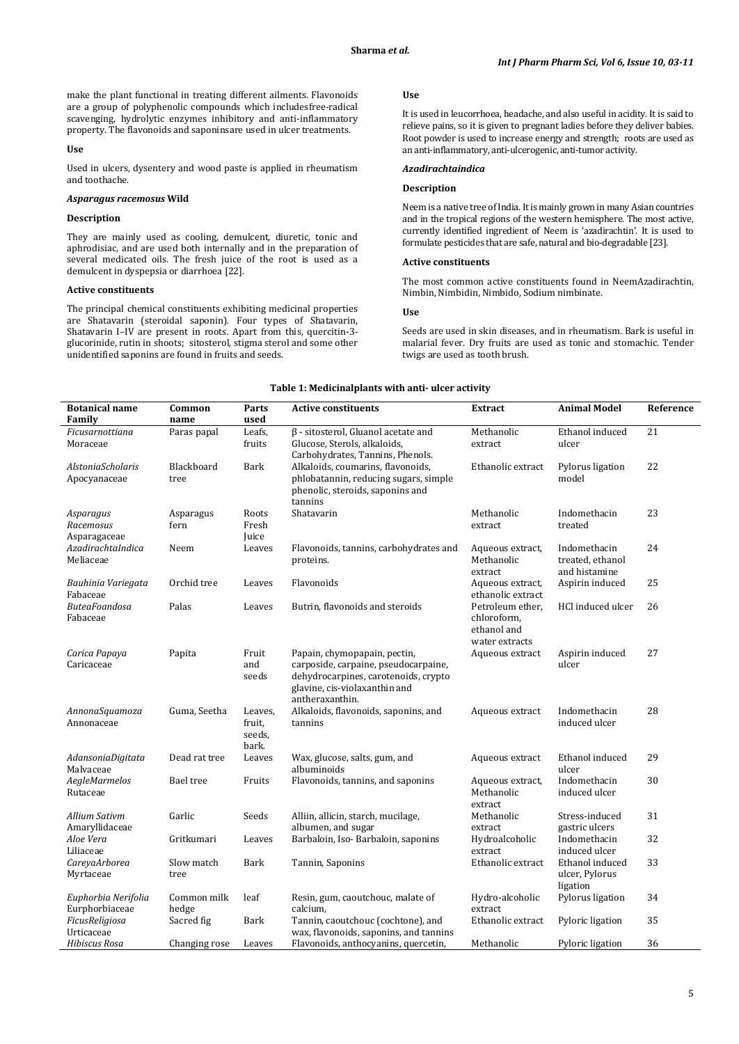make the plant functional in treating different ailments. Flavonoids are a group of polyphenolic compounds which includesfree-radical scavenging, hydrolytic enzymes inhibitory and anti-inflammatory property. The flavonoids and saponinsare used in ulcer treatments.

### **Use**

Used in ulcers, dysentery and wood paste is applied in rheumatism and toothache.

# *Asparagus racemosus* **Wild**

### **Description**

They are mainly used as cooling, demulcent, diuretic, tonic and aphrodisiac, and are used both internally and in the preparation of several medicated oils. The fresh juice of the root is used as a demulcent in dyspepsia or diarrhoea [22].

# **Active constituents**

The principal chemical constituents exhibiting medicinal properties are Shatavarin (steroidal saponin). Four types of Shatavarin, Shatavarin I–IV are present in roots. Apart from this, quercitin-3 glucorinide, rutin in shoots; sitosterol, stigma sterol and some other unidentified saponins are found in fruits and seeds.

### **Use**

It is used in leucorrhoea, headache, and also useful in acidity. It is said to relieve pains, so it is given to pregnant ladies before they deliver babies. Root powder is used to increase energy and strength; roots are used as an anti-inflammatory, anti-ulcerogenic, anti-tumor activity.

### *Azadirachtaindica*

# **Description**

Neem is a native tree of India. It is mainly grown in many Asian countries and in the tropical regions of the western hemisphere. The most active, currently identified ingredient of Neem is 'azadirachtin'. It is used to formulate pesticides that are safe, natural and bio-degradable [23].

# **Active constituents**

The most common active constituents found in NeemAzadirachtin, Nimbin, Nimbidin, Nimbido, Sodium nimbinate.

#### **Use**

Seeds are used in skin diseases, and in rheumatism. Bark is useful in malarial fever. Dry fruits are used as tonic and stomachic. Tender twigs are used as tooth brush.

# **Table 1: Medicinalplants with anti- ulcer activity**

| <b>Botanical name</b><br>Family        | Common<br>name       | Parts<br>used                        | <b>Active constituents</b>                                                                                                                                       | <b>Extract</b>                                                   | <b>Animal Model</b>                               | Reference       |
|----------------------------------------|----------------------|--------------------------------------|------------------------------------------------------------------------------------------------------------------------------------------------------------------|------------------------------------------------------------------|---------------------------------------------------|-----------------|
| Ficusarnottiana<br>Moraceae            | Paras papal          | Leafs,<br>fruits                     | $\beta$ - sitosterol, Gluanol acetate and<br>Glucose, Sterols, alkaloids,<br>Carbohydrates, Tannins, Phenols.                                                    | Methanolic<br>extract                                            | Ethanol induced<br>ulcer                          | $\overline{21}$ |
| AlstoniaScholaris<br>Apocyanaceae      | Blackboard<br>tree   | Bark                                 | Alkaloids, coumarins, flavonoids,<br>phlobatannin, reducing sugars, simple<br>phenolic, steroids, saponins and<br>tannins                                        | Ethanolic extract                                                | Pylorus ligation<br>model                         | 22              |
| Asparagus<br>Racemosus<br>Asparagaceae | Asparagus<br>fern    | Roots<br>Fresh<br>Juice              | Shatavarin                                                                                                                                                       | Methanolic<br>extract                                            | Indomethacin<br>treated                           | 23              |
| AzadirachtaIndica<br>Meliaceae         | Neem                 | Leaves                               | Flavonoids, tannins, carbohydrates and<br>proteins.                                                                                                              | Aqueous extract,<br>Methanolic<br>extract                        | Indomethacin<br>treated, ethanol<br>and histamine | 24              |
| Bauhinia Variegata<br>Fabaceae         | Orchid tree          | Leaves                               | Flavonoids                                                                                                                                                       | Aqueous extract,<br>ethanolic extract                            | Aspirin induced                                   | 25              |
| ButeaFoandosa<br>Fabaceae              | Palas                | Leaves                               | Butrin, flavonoids and steroids                                                                                                                                  | Petroleum ether,<br>chloroform,<br>ethanol and<br>water extracts | HCl induced ulcer                                 | 26              |
| Carica Papaya<br>Caricaceae            | Papita               | Fruit<br>and<br>seeds                | Papain, chymopapain, pectin,<br>carposide, carpaine, pseudocarpaine,<br>dehydrocarpines, carotenoids, crypto<br>glavine, cis-violaxanthin and<br>antheraxanthin. | Aqueous extract                                                  | Aspirin induced<br>ulcer                          | 27              |
| AnnonaSquamoza<br>Annonaceae           | Guma, Seetha         | Leaves,<br>fruit,<br>seeds,<br>bark. | Alkaloids, flavonoids, saponins, and<br>tannins                                                                                                                  | Aqueous extract                                                  | Indomethacin<br>induced ulcer                     | 28              |
| AdansoniaDigitata<br>Malvaceae         | Dead rat tree        | Leaves                               | Wax, glucose, salts, gum, and<br>albuminoids                                                                                                                     | Aqueous extract                                                  | Ethanol induced<br>ulcer                          | 29              |
| AegleMarmelos<br>Rutaceae              | <b>Bael</b> tree     | Fruits                               | Flavonoids, tannins, and saponins                                                                                                                                | Aqueous extract,<br>Methanolic<br>extract                        | Indomethacin<br>induced ulcer                     | 30              |
| Allium Sativm<br>Amaryllidaceae        | Garlic               | Seeds                                | Alliin, allicin, starch, mucilage,<br>albumen, and sugar                                                                                                         | Methanolic<br>extract                                            | Stress-induced<br>gastric ulcers                  | 31              |
| Aloe Vera<br>Liliaceae                 | Gritkumari           | Leaves                               | Barbaloin, Iso-Barbaloin, saponins                                                                                                                               | Hydroalcoholic<br>extract                                        | Indomethacin<br>induced ulcer                     | 32              |
| CareyaArborea<br>Myrtaceae             | Slow match<br>tree   | Bark                                 | Tannin, Saponins                                                                                                                                                 | Ethanolic extract                                                | Ethanol induced<br>ulcer, Pylorus<br>ligation     | 33              |
| Euphorbia Nerifolia<br>Eurphorbiaceae  | Common milk<br>hedge | leaf                                 | Resin, gum, caoutchouc, malate of<br>calcium,                                                                                                                    | Hydro-alcoholic<br>extract                                       | Pylorus ligation                                  | 34              |
| FicusReligiosa<br>Urticaceae           | Sacred fig           | Bark                                 | Tannin, caoutchouc (cochtone), and<br>wax, flavonoids, saponins, and tannins                                                                                     | Ethanolic extract                                                | Pyloric ligation                                  | 35              |
| Hibiscus Rosa                          | Changing rose        | Leaves                               | Flavonoids, anthocyanins, quercetin,                                                                                                                             | Methanolic                                                       | Pyloric ligation                                  | 36              |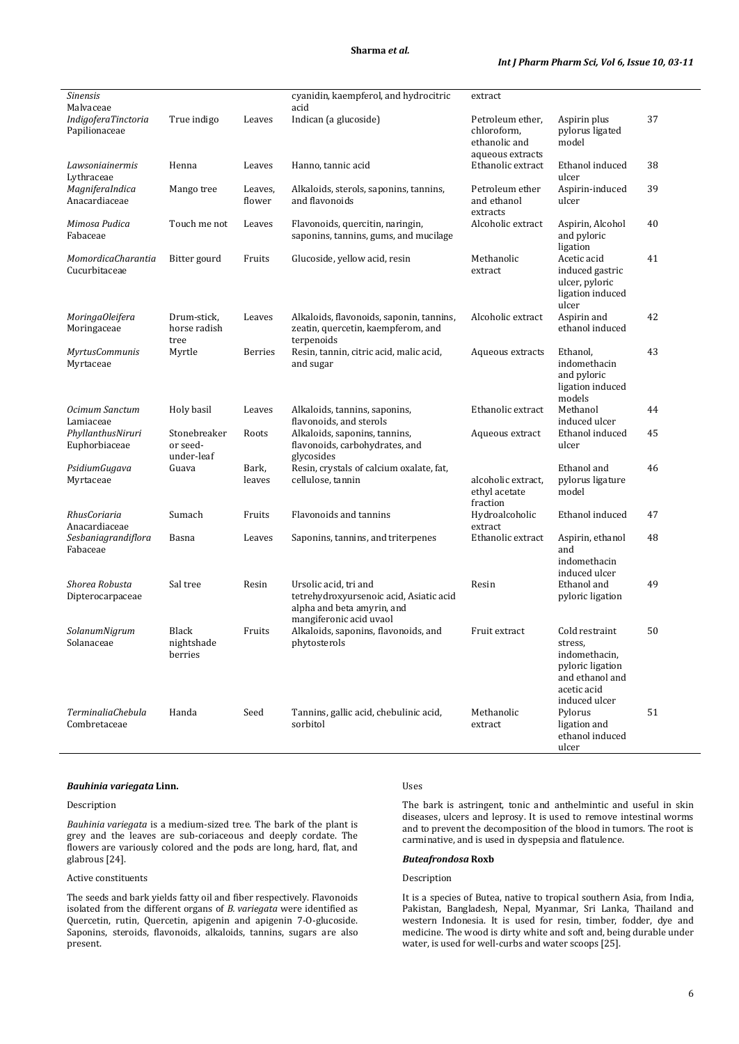# **Sharma** *et al.*

| <b>Sinensis</b><br>Malvaceae             |                                        |                   | cyanidin, kaempferol, and hydrocitric<br>acid                                                                             | extract                                                              |                                                                                                                   |    |
|------------------------------------------|----------------------------------------|-------------------|---------------------------------------------------------------------------------------------------------------------------|----------------------------------------------------------------------|-------------------------------------------------------------------------------------------------------------------|----|
| IndigoferaTinctoria<br>Papilionaceae     | True indigo                            | Leaves            | Indican (a glucoside)                                                                                                     | Petroleum ether,<br>chloroform,<br>ethanolic and<br>aqueous extracts | Aspirin plus<br>pylorus ligated<br>model                                                                          | 37 |
| Lawsoniainermis<br>Lythraceae            | Henna                                  | Leaves            | Hanno, tannic acid                                                                                                        | Ethanolic extract                                                    | Ethanol induced<br>ulcer                                                                                          | 38 |
| MagniferaIndica<br>Anacardiaceae         | Mango tree                             | Leaves,<br>flower | Alkaloids, sterols, saponins, tannins,<br>and flavonoids                                                                  | Petroleum ether<br>and ethanol<br>extracts                           | Aspirin-induced<br>ulcer                                                                                          | 39 |
| Mimosa Pudica<br>Fabaceae                | Touch me not                           | Leaves            | Flavonoids, quercitin, naringin,<br>saponins, tannins, gums, and mucilage                                                 | Alcoholic extract                                                    | Aspirin, Alcohol<br>and pyloric<br>ligation                                                                       | 40 |
| MomordicaCharantia<br>Cucurbitaceae      | Bitter gourd                           | Fruits            | Glucoside, yellow acid, resin                                                                                             | Methanolic<br>extract                                                | Acetic acid<br>induced gastric<br>ulcer, pyloric<br>ligation induced<br>ulcer                                     | 41 |
| MoringaOleifera<br>Moringaceae           | Drum-stick,<br>horse radish<br>tree    | Leaves            | Alkaloids, flavonoids, saponin, tannins,<br>zeatin, quercetin, kaempferom, and<br>terpenoids                              | Alcoholic extract                                                    | Aspirin and<br>ethanol induced                                                                                    | 42 |
| <b>MyrtusCommunis</b><br>Myrtaceae       | Myrtle                                 | <b>Berries</b>    | Resin, tannin, citric acid, malic acid,<br>and sugar                                                                      | Aqueous extracts                                                     | Ethanol,<br>indomethacin<br>and pyloric<br>ligation induced<br>models                                             | 43 |
| Ocimum Sanctum<br>Lamiaceae              | Holy basil                             | Leaves            | Alkaloids, tannins, saponins,<br>flavonoids, and sterols                                                                  | Ethanolic extract                                                    | Methanol<br>induced ulcer                                                                                         | 44 |
| PhyllanthusNiruri<br>Euphorbiaceae       | Stonebreaker<br>or seed-<br>under-leaf | Roots             | Alkaloids, saponins, tannins,<br>flavonoids, carbohydrates, and<br>glycosides                                             | Aqueous extract                                                      | Ethanol induced<br>ulcer                                                                                          | 45 |
| PsidiumGugava<br>Myrtaceae               | Guava                                  | Bark,<br>leaves   | Resin, crystals of calcium oxalate, fat,<br>cellulose, tannin                                                             | alcoholic extract,<br>ethyl acetate<br>fraction                      | Ethanol and<br>pylorus ligature<br>model                                                                          | 46 |
| RhusCoriaria<br>Anacardiaceae            | Sumach                                 | Fruits            | Flavonoids and tannins                                                                                                    | Hydroalcoholic<br>extract                                            | Ethanol induced                                                                                                   | 47 |
| Sesbaniagrandiflora<br>Fabaceae          | Basna                                  | Leaves            | Saponins, tannins, and triterpenes                                                                                        | Ethanolic extract                                                    | Aspirin, ethanol<br>and<br>indomethacin<br>induced ulcer                                                          | 48 |
| Shorea Robusta<br>Dipterocarpaceae       | Sal tree                               | Resin             | Ursolic acid, tri and<br>tetrehydroxyursenoic acid, Asiatic acid<br>alpha and beta amyrin, and<br>mangiferonic acid uvaol | Resin                                                                | Ethanol and<br>pyloric ligation                                                                                   | 49 |
| SolanumNigrum<br>Solanaceae              | Black<br>nightshade<br>berries         | Fruits            | Alkaloids, saponins, flavonoids, and<br>phytosterols                                                                      | Fruit extract                                                        | Cold restraint<br>stress,<br>indomethacin,<br>pyloric ligation<br>and ethanol and<br>acetic acid<br>induced ulcer | 50 |
| <b>TerminaliaChebula</b><br>Combretaceae | Handa                                  | Seed              | Tannins, gallic acid, chebulinic acid,<br>sorbitol                                                                        | Methanolic<br>extract                                                | Pylorus<br>ligation and<br>ethanol induced<br>ulcer                                                               | 51 |

### *Bauhinia variegata* **Linn.**

# Description

*Bauhinia variegata* is a medium-sized tree. The bark of the plant is grey and the leaves are sub-coriaceous and deeply cordate. The flowers are variously colored and the pods are long, hard, flat, and glabrous [24].

# Active constituents

The seeds and bark yields fatty oil and fiber respectively. Flavonoids isolated from the different organs of *B. variegata* were identified as Quercetin, rutin, Quercetin, apigenin and apigenin 7-O-glucoside. Saponins, steroids, flavonoids, alkaloids, tannins, sugars are also present.

### Uses

The bark is astringent, tonic and anthelmintic and useful in skin diseases, ulcers and leprosy. It is used to remove intestinal worms and to prevent the decomposition of the blood in tumors. The root is carminative, and is used in dyspepsia and flatulence.

# *Buteafrondosa* **Roxb**

# Description

It is a species of Butea, native to tropical southern Asia, from India, Pakistan, Bangladesh, Nepal, Myanmar, Sri Lanka, Thailand and western Indonesia. It is used for resin, timber, fodder, dye and medicine. The wood is dirty white and soft and, being durable under water, is used for well-curbs and water scoops [25].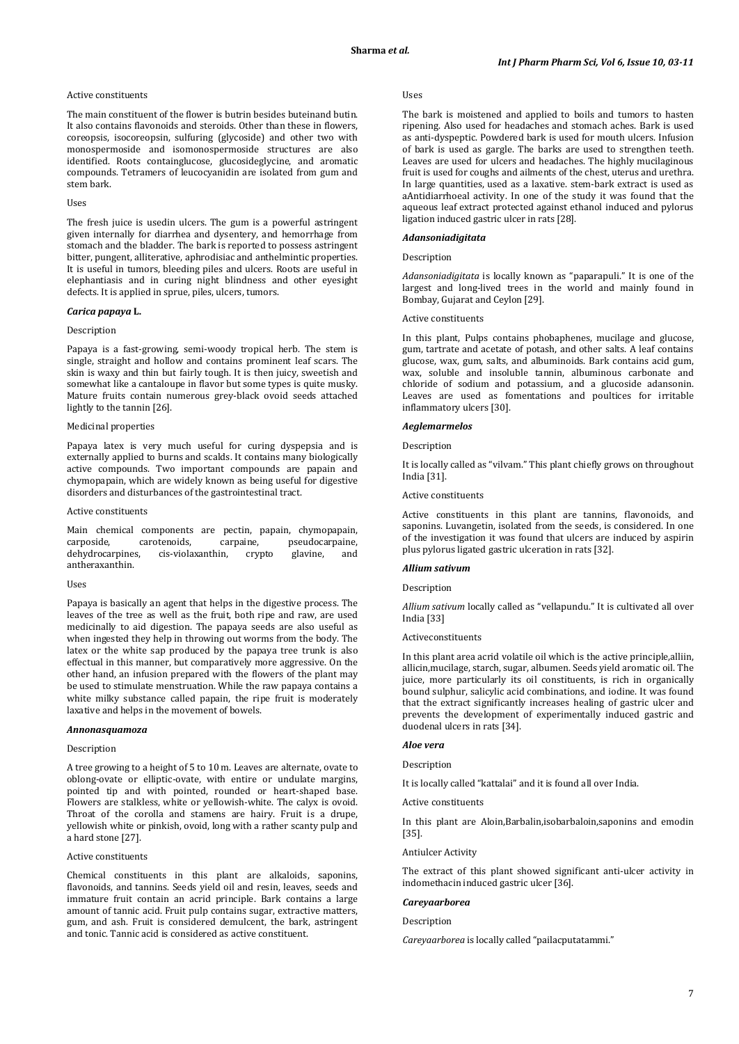### Active constituents

The main constituent of the flower is butrin besides buteinand butin. It also contains flavonoids and steroids. Other than these in flowers, coreopsis, isocoreopsin, sulfuring (glycoside) and other two with monospermoside and isomonospermoside structures are also identified. Roots containglucose, glucosideglycine, and aromatic compounds. Tetramers of leucocyanidin are isolated from gum and stem bark.

#### Uses

The fresh juice is usedin ulcers. The gum is a powerful astringent given internally for diarrhea and dysentery, and hemorrhage from stomach and the bladder. The bark is reported to possess astringent bitter, pungent, alliterative, aphrodisiac and anthelmintic properties. It is useful in tumors, bleeding piles and ulcers. Roots are useful in elephantiasis and in curing night blindness and other eyesight defects. It is applied in sprue, piles, ulcers, tumors.

#### *Carica papaya* **L.**

### Description

Papaya is a fast-growing, semi-woody tropical herb. The stem is single, straight and hollow and contains prominent leaf scars. The skin is waxy and thin but fairly tough. It is then juicy, sweetish and somewhat like a cantaloupe in flavor but some types is quite musky. Mature fruits contain numerous grey-black ovoid seeds attached lightly to the tannin [26].

### Medicinal properties

Papaya latex is very much useful for curing dyspepsia and is externally applied to burns and scalds. It contains many biologically active compounds. Two important compounds are papain and chymopapain, which are widely known as being useful for digestive disorders and disturbances of the gastrointestinal tract.

### Active constituents

Main chemical components are pectin, papain, chymopapain, carposide, carotenoids, carpaine, pseudocarpaine, nine, pseudocarpaine,<br>crypto glavine, and dehydrocarpines, cis-violaxanthin, antheraxanthin.

#### Uses

Papaya is basically an agent that helps in the digestive process. The leaves of the tree as well as the fruit, both ripe and raw, are used medicinally to aid digestion. The papaya seeds are also useful as when ingested they help in throwing out worms from the body. The latex or the white sap produced by the papaya tree trunk is also effectual in this manner, but comparatively more aggressive. On the other hand, an infusion prepared with the flowers of the plant may be used to stimulate menstruation. While the raw papaya contains a white milky substance called papain, the ripe fruit is moderately laxative and helps in the movement of bowels.

#### *Annonasquamoza*

#### Description

A tree growing to a height of 5 to 10 m. Leaves are alternate, ovate to oblong-ovate or elliptic-ovate, with entire or undulate margins, pointed tip and with pointed, rounded or heart-shaped base. Flowers are stalkless, white or yellowish-white. The calyx is ovoid. Throat of the corolla and stamens are hairy. Fruit is a drupe, yellowish white or pinkish, ovoid, long with a rather scanty pulp and a hard stone [27].

### Active constituents

Chemical constituents in this plant are alkaloids, saponins, flavonoids, and tannins. Seeds yield oil and resin, leaves, seeds and immature fruit contain an acrid principle. Bark contains a large amount of tannic acid. Fruit pulp contains sugar, extractive matters, gum, and ash. Fruit is considered demulcent, the bark, astringent and tonic. Tannic acid is considered as active constituent.

### Uses

The bark is moistened and applied to boils and tumors to hasten ripening. Also used for headaches and stomach aches. Bark is used as anti-dyspeptic. Powdered bark is used for mouth ulcers. Infusion of bark is used as gargle. The barks are used to strengthen teeth. Leaves are used for ulcers and headaches. The highly mucilaginous fruit is used for coughs and ailments of the chest, uterus and urethra. In large quantities, used as a laxative. stem-bark extract is used as aAntidiarrhoeal activity. In one of the study it was found that the aqueous leaf extract protected against ethanol induced and pylorus ligation induced gastric ulcer in rats [28].

### *Adansoniadigitata*

### Description

*Adansoniadigitata* is locally known as "paparapuli." It is one of the largest and long-lived trees in the world and mainly found in Bombay, Gujarat and Ceylon [29].

### Active constituents

In this plant, Pulps contains phobaphenes, mucilage and glucose, gum, tartrate and acetate of potash, and other salts. A leaf contains glucose, wax, gum, salts, and albuminoids. Bark contains acid gum, wax, soluble and insoluble tannin, albuminous carbonate and chloride of sodium and potassium, and a glucoside adansonin. Leaves are used as fomentations and poultices for irritable inflammatory ulcers [30].

### *Aeglemarmelos*

Description

It is locally called as "vilvam." This plant chiefly grows on throughout India [31].

### Active constituents

Active constituents in this plant are tannins, flavonoids, and saponins. Luvangetin, isolated from the seeds, is considered. In one of the investigation it was found that ulcers are induced by aspirin plus pylorus ligated gastric ulceration in rats [32].

# *Allium sativum*

Description

*Allium sativum* locally called as "vellapundu." It is cultivated all over India [33]

#### Activeconstituents

In this plant area acrid volatile oil which is the active principle,alliin, allicin,mucilage, starch, sugar, albumen. Seeds yield aromatic oil. The juice, more particularly its oil constituents, is rich in organically bound sulphur, salicylic acid combinations, and iodine. It was found that the extract significantly increases healing of gastric ulcer and prevents the development of experimentally induced gastric and duodenal ulcers in rats [34].

### *Aloe vera*

Description

It is locally called "kattalai" and it is found all over India.

Active constituents

In this plant are Aloin,Barbalin,isobarbaloin,saponins and emodin [35].

Antiulcer Activity

The extract of this plant showed significant anti-ulcer activity in indomethacin induced gastric ulcer [36].

### *Careyaarborea*

Description

*Careyaarborea* is locally called "pailacputatammi."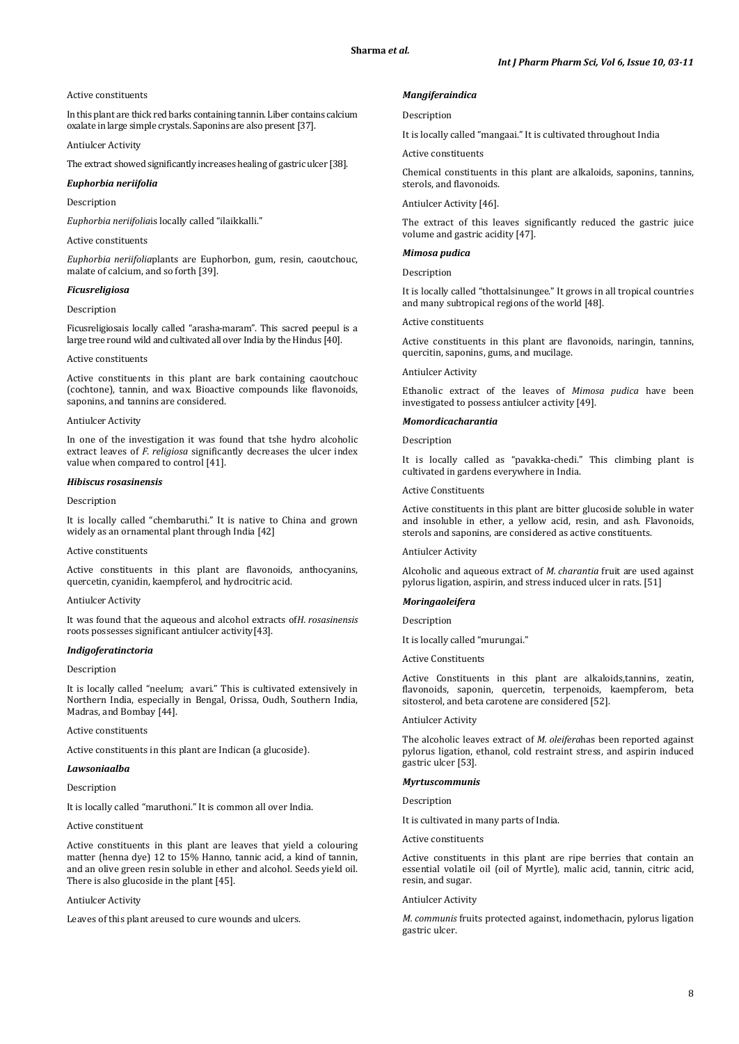#### Active constituents

In this plant are thick red barks containing tannin. Liber contains calcium oxalate in large simple crystals. Saponins are also present [37].

Antiulcer Activity

The extract showed significantly increases healing of gastric ulcer [38].

### *Euphorbia neriifolia*

Description

*Euphorbia neriifolia*is locally called "ilaikkalli."

Active constituents

*Euphorbia neriifolia*plants are Euphorbon, gum, resin, caoutchouc, malate of calcium, and so forth [39].

### *Ficusreligiosa*

#### Description

Ficusreligiosais locally called "arasha-maram". This sacred peepul is a large tree round wild and cultivated all over India by the Hindus [40].

### Active constituents

Active constituents in this plant are bark containing caoutchouc (cochtone), tannin, and wax. Bioactive compounds like flavonoids, saponins, and tannins are considered.

#### Antiulcer Activity

In one of the investigation it was found that tshe hydro alcoholic extract leaves of *F. religiosa* significantly decreases the ulcer index value when compared to control [41].

### *Hibiscus rosasinensis*

#### Description

It is locally called "chembaruthi." It is native to China and grown widely as an ornamental plant through India [42]

#### Active constituents

Active constituents in this plant are flavonoids, anthocyanins, quercetin, cyanidin, kaempferol, and hydrocitric acid.

### Antiulcer Activity

It was found that the aqueous and alcohol extracts of*H. rosasinensis* roots possesses significant antiulcer activity[43].

### *Indigoferatinctoria*

#### Description

It is locally called "neelum; avari." This is cultivated extensively in Northern India, especially in Bengal, Orissa, Oudh, Southern India, Madras, and Bombay [44].

### Active constituents

Active constituents in this plant are Indican (a glucoside).

### *Lawsoniaalba*

#### Description

It is locally called "maruthoni." It is common all over India.

### Active constituent

Active constituents in this plant are leaves that yield a colouring matter (henna dye) 12 to 15% Hanno, tannic acid, a kind of tannin, and an olive green resin soluble in ether and alcohol. Seeds yield oil. There is also glucoside in the plant [45].

### Antiulcer Activity

Leaves of this plant areused to cure wounds and ulcers.

### *Mangiferaindica*

#### Description

It is locally called "mangaai." It is cultivated throughout India

Active constituents

Chemical constituents in this plant are alkaloids, saponins, tannins, sterols, and flavonoids.

Antiulcer Activity [46].

The extract of this leaves significantly reduced the gastric juice volume and gastric acidity [47].

## *Mimosa pudica*

Description

It is locally called "thottalsinungee." It grows in all tropical countries and many subtropical regions of the world [48].

#### Active constituents

Active constituents in this plant are flavonoids, naringin, tannins, quercitin, saponins, gums, and mucilage.

### Antiulcer Activity

Ethanolic extract of the leaves of *Mimosa pudica* have been investigated to possess antiulcer activity [49].

### *Momordicacharantia*

Description

It is locally called as "pavakka-chedi." This climbing plant is cultivated in gardens everywhere in India.

#### Active Constituents

Active constituents in this plant are bitter glucoside soluble in water and insoluble in ether, a yellow acid, resin, and ash. Flavonoids, sterols and saponins, are considered as active constituents.

Antiulcer Activity

Alcoholic and aqueous extract of *M. charantia* fruit are used against pylorus ligation, aspirin, and stress induced ulcer in rats. [51]

### *Moringaoleifera*

Description

It is locally called "murungai."

Active Constituents

Active Constituents in this plant are alkaloids,tannins, zeatin, flavonoids, saponin, quercetin, terpenoids, kaempferom, beta sitosterol, and beta carotene are considered [52].

#### Antiulcer Activity

The alcoholic leaves extract of *M. oleifera*has been reported against pylorus ligation, ethanol, cold restraint stress, and aspirin induced gastric ulcer [53].

# *Myrtuscommunis*

Description

It is cultivated in many parts of India.

Active constituents

Active constituents in this plant are ripe berries that contain an essential volatile oil (oil of Myrtle), malic acid, tannin, citric acid, resin, and sugar.

## Antiulcer Activity

*M. communis* fruits protected against, indomethacin, pylorus ligation gastric ulcer.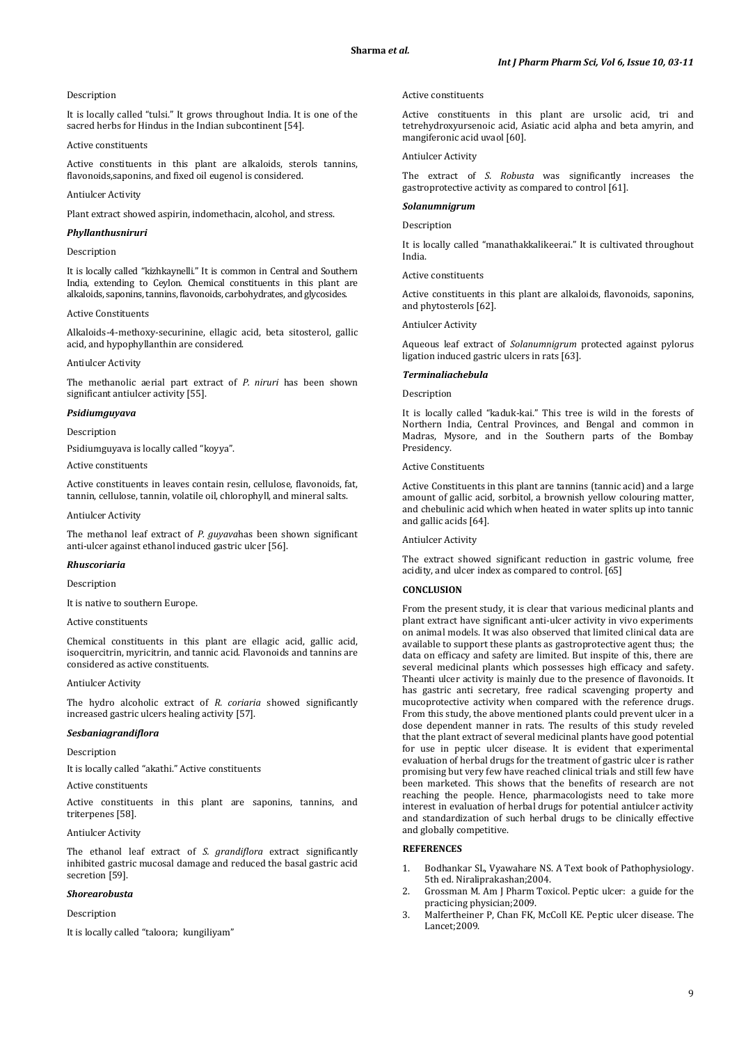### Description

It is locally called "tulsi." It grows throughout India. It is one of the sacred herbs for Hindus in the Indian subcontinent [54].

## Active constituents

Active constituents in this plant are alkaloids, sterols tannins, flavonoids,saponins, and fixed oil eugenol is considered.

### Antiulcer Activity

Plant extract showed aspirin, indomethacin, alcohol, and stress.

# *Phyllanthusniruri*

### Description

It is locally called "kizhkaynelli." It is common in Central and Southern India, extending to Ceylon. Chemical constituents in this plant are alkaloids, saponins, tannins, flavonoids, carbohydrates, and glycosides.

### Active Constituents

Alkaloids-4-methoxy-securinine, ellagic acid, beta sitosterol, gallic acid, and hypophyllanthin are considered.

#### Antiulcer Activity

The methanolic aerial part extract of *P. niruri* has been shown significant antiulcer activity [55].

### *Psidiumguyava*

### Description

Psidiumguyava is locally called "koyya".

# Active constituents

Active constituents in leaves contain resin, cellulose, flavonoids, fat, tannin, cellulose, tannin, volatile oil, chlorophyll, and mineral salts.

#### Antiulcer Activity

The methanol leaf extract of *P. guyava*has been shown significant anti-ulcer against ethanol induced gastric ulcer [56].

# *Rhuscoriaria*

#### Description

It is native to southern Europe.

### Active constituents

Chemical constituents in this plant are ellagic acid, gallic acid, isoquercitrin, myricitrin, and tannic acid. Flavonoids and tannins are considered as active constituents.

#### Antiulcer Activity

The hydro alcoholic extract of *R. coriaria* showed significantly increased gastric ulcers healing activity [57].

#### *Sesbaniagrandiflora*

### Description

It is locally called "akathi." Active constituents

#### Active constituents

Active constituents in this plant are saponins, tannins, and triterpenes [58].

### Antiulcer Activity

The ethanol leaf extract of *S. grandiflora* extract significantly inhibited gastric mucosal damage and reduced the basal gastric acid secretion [59].

### *Shorearobusta*

### Description

It is locally called "taloora; kungiliyam"

### Active constituents

Active constituents in this plant are ursolic acid, tri and tetrehydroxyursenoic acid, Asiatic acid alpha and beta amyrin, and mangiferonic acid uvaol [60].

### Antiulcer Activity

The extract of *S. Robusta* was significantly increases the gastroprotective activity as compared to control [61].

#### *Solanumnigrum*

Description

It is locally called "manathakkalikeerai." It is cultivated throughout India.

### Active constituents

Active constituents in this plant are alkaloids, flavonoids, saponins, and phytosterols [62].

#### Antiulcer Activity

Aqueous leaf extract of *Solanumnigrum* protected against pylorus ligation induced gastric ulcers in rats [63].

#### *Terminaliachebula*

### Description

It is locally called "kaduk-kai." This tree is wild in the forests of Northern India, Central Provinces, and Bengal and common in Madras, Mysore, and in the Southern parts of the Bombay Presidency.

# Active Constituents

Active Constituents in this plant are tannins (tannic acid) and a large amount of gallic acid, sorbitol, a brownish yellow colouring matter, and chebulinic acid which when heated in water splits up into tannic and gallic acids [64].

### Antiulcer Activity

The extract showed significant reduction in gastric volume, free acidity, and ulcer index as compared to control. [65]

# **CONCLUSION**

From the present study, it is clear that various medicinal plants and plant extract have significant anti-ulcer activity in vivo experiments on animal models. It was also observed that limited clinical data are available to support these plants as gastroprotective agent thus; the data on efficacy and safety are limited. But inspite of this, there are several medicinal plants which possesses high efficacy and safety. Theanti ulcer activity is mainly due to the presence of flavonoids. It has gastric anti secretary, free radical scavenging property and mucoprotective activity when compared with the reference drugs. From this study, the above mentioned plants could prevent ulcer in a dose dependent manner in rats. The results of this study reveled that the plant extract of several medicinal plants have good potential for use in peptic ulcer disease. It is evident that experimental evaluation of herbal drugs for the treatment of gastric ulcer is rather promising but very few have reached clinical trials and still few have been marketed. This shows that the benefits of research are not reaching the people. Hence, pharmacologists need to take more interest in evaluation of herbal drugs for potential antiulcer activity and standardization of such herbal drugs to be clinically effective and globally competitive.

# **REFERENCES**

- 1. Bodhankar SL, Vyawahare NS. A Text book of Pathophysiology. 5th ed. Niraliprakashan;2004.
- 2. Grossman M. Am J Pharm Toxicol. Peptic ulcer: a guide for the practicing physician;2009.
- 3. Malfertheiner P, Chan FK, McColl KE. Peptic ulcer disease. The Lancet;2009.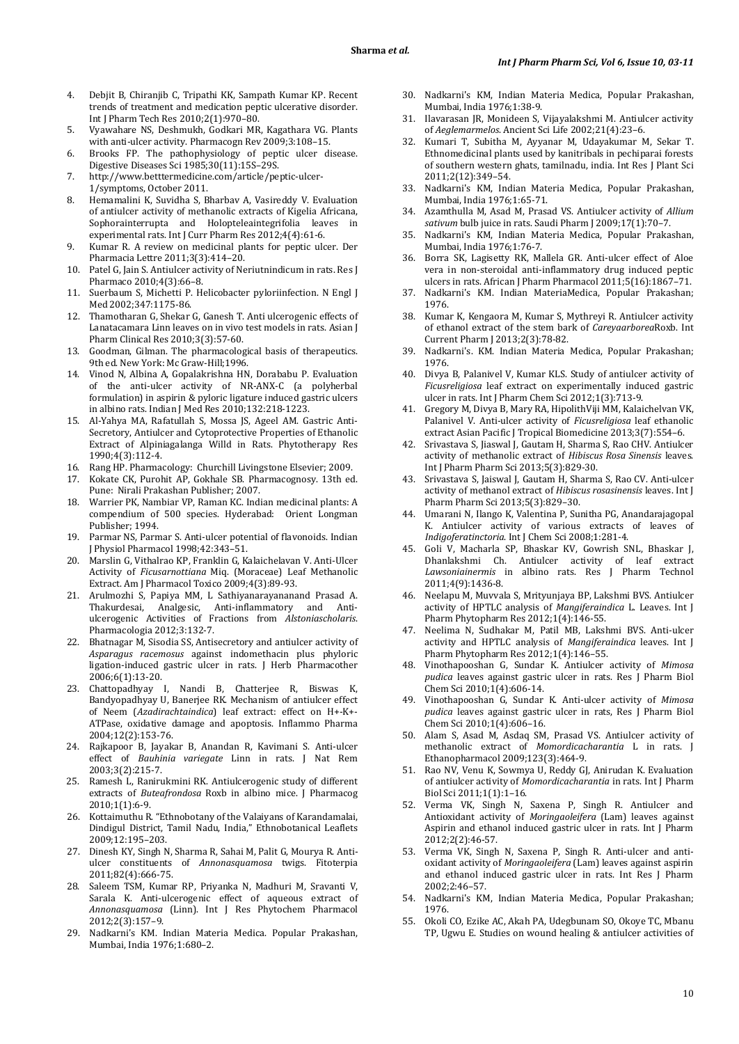- 4. Debjit B, Chiranjib C, Tripathi KK, Sampath Kumar KP. Recent trends of treatment and medication peptic ulcerative disorder. Int J Pharm Tech Res 2010;2(1):970–80.
- 5. Vyawahare NS, Deshmukh, Godkari MR, Kagathara VG. Plants with anti-ulcer activity. Pharmacogn Rev 2009;3:108–15.
- 6. Brooks FP. The pathophysiology of peptic ulcer disease. Digestive Diseases Sci 1985;30(11):15S–29S.
- 7. http://www.betttermedicine.com/article/peptic-ulcer-1/symptoms, October 2011.
- 8. Hemamalini K, Suvidha S, Bharbav A, Vasireddy V. Evaluation of antiulcer activity of methanolic extracts of Kigelia Africana, Sophorainterrupta and Holopteleaintegrifolia leaves in experimental rats. Int J Curr Pharm Res 2012;4(4):61-6.
- 9. Kumar R. A review on medicinal plants for peptic ulcer. Der Pharmacia Lettre 2011;3(3):414–20.
- 10. Patel G, Jain S. Antiulcer activity of Neriutnindicum in rats. Res J Pharmaco 2010;4(3):66–8.
- 11. Suerbaum S, Michetti P. Helicobacter pyloriinfection. N Engl J Med 2002;347:1175-86.
- 12. Thamotharan G, Shekar G, Ganesh T. Anti ulcerogenic effects of Lanatacamara Linn leaves on in vivo test models in rats. Asian J Pharm Clinical Res 2010;3(3):57-60.
- 13. Goodman, Gilman. The pharmacological basis of therapeutics. 9th ed. New York: Mc Graw-Hill: 1996.
- 14. Vinod N, Albina A, Gopalakrishna HN, Dorababu P. Evaluation of the anti-ulcer activity of NR-ANX-C (a polyherbal formulation) in aspirin & pyloric ligature induced gastric ulcers in albino rats. Indian J Med Res 2010;132:218-1223.
- 15. Al-Yahya MA, Rafatullah S, Mossa JS, Ageel AM. Gastric Anti-Secretory, Antiulcer and Cytoprotective Properties of Ethanolic Extract of Alpiniagalanga Willd in Rats. Phytotherapy Res 1990;4(3):112-4.
- 16. Rang HP. Pharmacology: Churchill Livingstone Elsevier; 2009.
- 17. Kokate CK, Purohit AP, Gokhale SB. Pharmacognosy. 13th ed. Pune: Nirali Prakashan Publisher; 2007.
- 18. Warrier PK, Nambiar VP, Raman KC. Indian medicinal plants: A compendium of 500 species. Hyderabad: Orient Longman Publisher; 1994.
- 19. Parmar NS, Parmar S. Anti-ulcer potential of flavonoids. Indian J Physiol Pharmacol 1998;42:343–51.
- 20. Marslin G, Vithalrao KP, Franklin G, Kalaichelavan V. Anti-Ulcer Activity of *Ficusarnottiana* Miq. (Moraceae) Leaf Methanolic Extract. Am J Pharmacol Toxico 2009;4(3):89-93.
- 21. Arulmozhi S, Papiya MM, L Sathiyanarayananand Prasad A. Thakurdesai, Analgesic, Anti-inflammatory and Antiulcerogenic Activities of Fractions from *Alstoniascholaris*. Pharmacologia 2012;3:132-7.
- 22. Bhatnagar M, Sisodia SS, Antisecretory and antiulcer activity of *Asparagus racemosus* against indomethacin plus phyloric ligation-induced gastric ulcer in rats. J Herb Pharmacother 2006;6(1):13-20.
- 23. Chattopadhyay I, Nandi B, Chatterjee R, Biswas K, Bandyopadhyay U, Banerjee RK. Mechanism of antiulcer effect of Neem (*Azadirachtaindica*) leaf extract: effect on H+-K+- ATPase, oxidative damage and apoptosis. Inflammo Pharma 2004;12(2):153-76.
- 24. Rajkapoor B, Jayakar B, Anandan R, Kavimani S. Anti-ulcer effect of *Bauhinia variegate* Linn in rats. J Nat Rem 2003;3(2):215-7.
- 25. Ramesh L, Ranirukmini RK. Antiulcerogenic study of different extracts of *Buteafrondosa* Roxb in albino mice. J Pharmacog 2010;1(1):6-9.
- 26. Kottaimuthu R. "Ethnobotany of the Valaiyans of Karandamalai, Dindigul District, Tamil Nadu, India," Ethnobotanical Leaflets 2009;12:195–203.
- 27. Dinesh KY, Singh N, Sharma R, Sahai M, Palit G, Mourya R. Antiulcer constituents of *Annonasquamosa* twigs. Fitoterpia 2011;82(4):666-75.
- 28. Saleem TSM, Kumar RP, Priyanka N, Madhuri M, Sravanti V, Sarala K. Anti-ulcerogenic effect of aqueous extract of *Annonasquamosa* (Linn). Int J Res Phytochem Pharmacol 2012;2(3):157–9.
- 29. Nadkarni's KM. Indian Materia Medica. Popular Prakashan, Mumbai, India 1976;1:680–2.
- 30. Nadkarni's KM, Indian Materia Medica, Popular Prakashan, Mumbai, India 1976;1:38-9.
- 31. Ilavarasan JR, Monideen S, Vijayalakshmi M. Antiulcer activity of *Aeglemarmelos*. Ancient Sci Life 2002;21(4):23–6.
- 32. Kumari T, Subitha M, Ayyanar M, Udayakumar M, Sekar T. Ethnomedicinal plants used by kanitribals in pechiparai forests of southern western ghats, tamilnadu, india. Int Res J Plant Sci 2011;2(12):349–54.
- 33. Nadkarni's KM, Indian Materia Medica*,* Popular Prakashan, Mumbai, India 1976;1:65-71.
- 34. Azamthulla M, Asad M, Prasad VS. Antiulcer activity of *Allium sativum* bulb juice in rats. Saudi Pharm J 2009;17(1):70–7.
- 35. Nadkarni's KM, Indian Materia Medica, Popular Prakashan, Mumbai, India 1976;1:76-7.
- 36. Borra SK, Lagisetty RK, Mallela GR. Anti-ulcer effect of Aloe vera in non-steroidal anti-inflammatory drug induced peptic ulcers in rats. African J Pharm Pharmacol 2011;5(16):1867–71.
- 37. Nadkarni's KM. Indian MateriaMedica, Popular Prakashan; 1976.
- 38. Kumar K, Kengaora M, Kumar S, Mythreyi R. Antiulcer activity of ethanol extract of the stem bark of *Careyaarborea*Roxb. Int Current Pharm J 2013;2(3):78-82.
- 39. Nadkarni's. KM. Indian Materia Medica, Popular Prakashan; 1976.
- 40. Divya B, Palanivel V, Kumar KLS. Study of antiulcer activity of *Ficusreligiosa* leaf extract on experimentally induced gastric ulcer in rats. Int J Pharm Chem Sci 2012;1(3):713-9.
- 41. Gregory M, Divya B, Mary RA, HipolithViji MM, Kalaichelvan VK, Palanivel V. Anti-ulcer activity of *Ficusreligiosa* leaf ethanolic extract Asian Pacific J Tropical Biomedicine 2013;3(7):554–6.
- 42. Srivastava S, Jiaswal J, Gautam H, Sharma S, Rao CHV. Antiulcer activity of methanolic extract of *Hibiscus Rosa Sinensis* leaves. Int J Pharm Pharm Sci 2013;5(3):829-30.
- 43. Srivastava S, Jaiswal J, Gautam H, Sharma S, Rao CV. Anti-ulcer activity of methanol extract of *Hibiscus rosasinensis* leaves. Int J Pharm Pharm Sci 2013;5(3):829–30.
- Umarani N, Ilango K, Valentina P, Sunitha PG, Anandarajagopal K. Antiulcer activity of various extracts of leaves of *Indigoferatinctoria*. Int J Chem Sci 2008;1:281-4.
- 45. Goli V, Macharla SP, Bhaskar KV, Gowrish SNL, Bhaskar J, Dhanlakshmi Ch. Antiulcer activity of leaf extract *Lawsoniainermis* in albino rats. Res J Pharm Technol 2011;4(9):1436-8.
- 46. Neelapu M, Muvvala S, Mrityunjaya BP, Lakshmi BVS. Antiulcer activity of HPTLC analysis of *Mangiferaindica* L. Leaves. Int J Pharm Phytopharm Res 2012;1(4):146-55.
- 47. Neelima N, Sudhakar M, Patil MB, Lakshmi BVS. Anti-ulcer activity and HPTLC analysis of *Mangiferaindica* leaves. Int J Pharm Phytopharm Res 2012;1(4):146–55.
- 48. Vinothapooshan G, Sundar K. Antiulcer activity of *Mimosa pudica* leaves against gastric ulcer in rats. Res J Pharm Biol Chem Sci 2010;1(4):606-14.
- 49. Vinothapooshan G, Sundar K. Anti-ulcer activity of *Mimosa pudica* leaves against gastric ulcer in rats, Res J Pharm Biol Chem Sci 2010;1(4):606–16.
- 50. Alam S, Asad M, Asdaq SM, Prasad VS. Antiulcer activity of methanolic extract of *Momordicacharantia* L in rats. J Ethanopharmacol 2009;123(3):464-9.
- 51. Rao NV, Venu K, Sowmya U, Reddy GJ, Anirudan K. Evaluation of antiulcer activity of *Momordicacharantia* in rats. Int J Pharm Biol Sci 2011;1(1):1–16.
- 52. Verma VK, Singh N, Saxena P, Singh R. Antiulcer and Antioxidant activity of *Moringaoleifera* (Lam) leaves against Aspirin and ethanol induced gastric ulcer in rats. Int J Pharm 2012;2(2):46-57.
- 53. Verma VK, Singh N, Saxena P, Singh R. Anti-ulcer and antioxidant activity of *Moringaoleifera* (Lam) leaves against aspirin and ethanol induced gastric ulcer in rats. Int Res J Pharm 2002;2:46–57.
- 54. Nadkarni's KM, Indian Materia Medica, Popular Prakashan; 1976.
- 55. Okoli CO, Ezike AC, Akah PA, Udegbunam SO, Okoye TC, Mbanu TP, Ugwu E. Studies on wound healing & antiulcer activities of